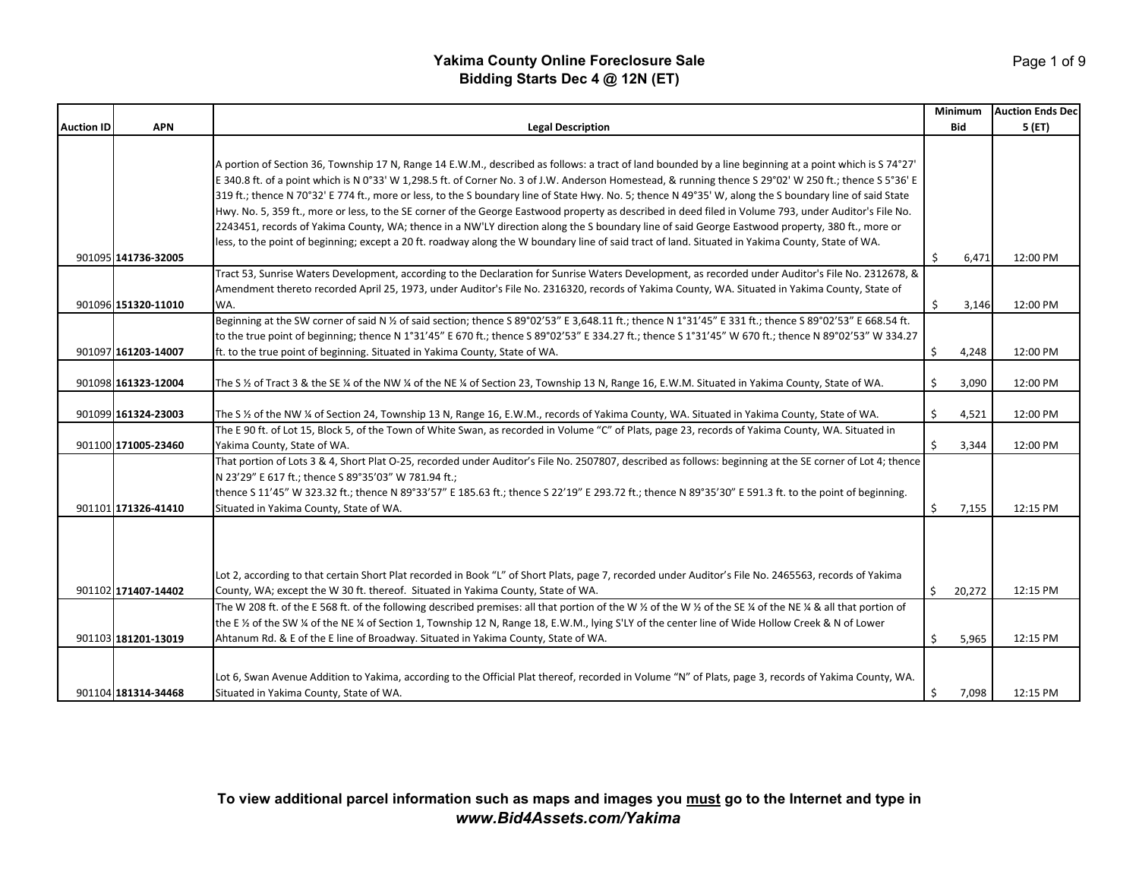|                   |                     |                                                                                                                                                                  |              | <b>Minimum</b> | <b>Auction Ends Dec</b> |
|-------------------|---------------------|------------------------------------------------------------------------------------------------------------------------------------------------------------------|--------------|----------------|-------------------------|
| <b>Auction ID</b> | <b>APN</b>          | <b>Legal Description</b>                                                                                                                                         |              | <b>Bid</b>     | 5(ET)                   |
|                   |                     |                                                                                                                                                                  |              |                |                         |
|                   |                     | A portion of Section 36, Township 17 N, Range 14 E.W.M., described as follows: a tract of land bounded by a line beginning at a point which is S 74°27'          |              |                |                         |
|                   |                     | E 340.8 ft. of a point which is N 0°33' W 1,298.5 ft. of Corner No. 3 of J.W. Anderson Homestead, & running thence S 29°02' W 250 ft.; thence S 5°36' E          |              |                |                         |
|                   |                     | 319 ft.; thence N 70°32' E 774 ft., more or less, to the S boundary line of State Hwy. No. 5; thence N 49°35' W, along the S boundary line of said State         |              |                |                         |
|                   |                     | Hwy. No. 5, 359 ft., more or less, to the SE corner of the George Eastwood property as described in deed filed in Volume 793, under Auditor's File No.           |              |                |                         |
|                   |                     | 2243451, records of Yakima County, WA; thence in a NW'LY direction along the S boundary line of said George Eastwood property, 380 ft., more or                  |              |                |                         |
|                   |                     | less, to the point of beginning; except a 20 ft. roadway along the W boundary line of said tract of land. Situated in Yakima County, State of WA.                |              |                |                         |
|                   | 901095 141736-32005 |                                                                                                                                                                  | \$           | 6,471          | 12:00 PM                |
|                   |                     | Tract 53, Sunrise Waters Development, according to the Declaration for Sunrise Waters Development, as recorded under Auditor's File No. 2312678, &               |              |                |                         |
|                   |                     | Amendment thereto recorded April 25, 1973, under Auditor's File No. 2316320, records of Yakima County, WA. Situated in Yakima County, State of                   |              |                |                         |
|                   | 901096 151320-11010 | WA.                                                                                                                                                              | \$           | 3,146          | 12:00 PM                |
|                   |                     | Beginning at the SW corner of said N % of said section; thence S 89°02'53" E 3,648.11 ft.; thence N 1°31'45" E 331 ft.; thence S 89°02'53" E 668.54 ft.          |              |                |                         |
|                   |                     | to the true point of beginning; thence N 1°31'45" E 670 ft.; thence S 89°02'53" E 334.27 ft.; thence S 1°31'45" W 670 ft.; thence N 89°02'53" W 334.27           |              |                |                         |
|                   | 901097 161203-14007 | ft. to the true point of beginning. Situated in Yakima County, State of WA.                                                                                      | \$           | 4,248          | 12:00 PM                |
|                   |                     |                                                                                                                                                                  |              |                |                         |
|                   | 901098 161323-12004 | The S 1/2 of Tract 3 & the SE 1/4 of the NW 1/4 of the NE 1/4 of Section 23, Township 13 N, Range 16, E.W.M. Situated in Yakima County, State of WA.             | \$           | 3,090          | 12:00 PM                |
|                   |                     |                                                                                                                                                                  |              |                |                         |
|                   | 901099 161324-23003 | The S 1/2 of the NW 1/4 of Section 24, Township 13 N, Range 16, E.W.M., records of Yakima County, WA. Situated in Yakima County, State of WA.                    | \$           | 4,521          | 12:00 PM                |
|                   |                     | The E 90 ft. of Lot 15, Block 5, of the Town of White Swan, as recorded in Volume "C" of Plats, page 23, records of Yakima County, WA. Situated in               |              |                |                         |
|                   | 901100 171005-23460 | Yakima County, State of WA.                                                                                                                                      | \$           | 3,344          | 12:00 PM                |
|                   |                     | That portion of Lots 3 & 4, Short Plat O-25, recorded under Auditor's File No. 2507807, described as follows: beginning at the SE corner of Lot 4; thence        |              |                |                         |
|                   |                     | N 23'29" E 617 ft.; thence S 89°35'03" W 781.94 ft.;                                                                                                             |              |                |                         |
|                   |                     | thence S 11'45" W 323.32 ft.; thence N 89°33'57" E 185.63 ft.; thence S 22'19" E 293.72 ft.; thence N 89°35'30" E 591.3 ft. to the point of beginning.           |              |                |                         |
|                   | 901101 171326-41410 | Situated in Yakima County, State of WA.                                                                                                                          | \$           | 7,155          | 12:15 PM                |
|                   |                     |                                                                                                                                                                  |              |                |                         |
|                   |                     |                                                                                                                                                                  |              |                |                         |
|                   |                     |                                                                                                                                                                  |              |                |                         |
|                   |                     | Lot 2, according to that certain Short Plat recorded in Book "L" of Short Plats, page 7, recorded under Auditor's File No. 2465563, records of Yakima            |              |                |                         |
|                   | 901102 171407-14402 | County, WA; except the W 30 ft. thereof. Situated in Yakima County, State of WA.                                                                                 | \$           | 20,272         | 12:15 PM                |
|                   |                     | The W 208 ft. of the E 568 ft. of the following described premises: all that portion of the W 1/2 of the W 1/2 of the SE 1/4 of the NE 1/4 & all that portion of |              |                |                         |
|                   |                     | the E 1/2 of the SW 1/4 of the NE 1/4 of Section 1, Township 12 N, Range 18, E.W.M., lying S'LY of the center line of Wide Hollow Creek & N of Lower             |              |                |                         |
|                   | 901103 181201-13019 | Ahtanum Rd. & E of the E line of Broadway. Situated in Yakima County, State of WA.                                                                               | Ŝ.           | 5,965          | 12:15 PM                |
|                   |                     |                                                                                                                                                                  |              |                |                         |
|                   |                     | Lot 6, Swan Avenue Addition to Yakima, according to the Official Plat thereof, recorded in Volume "N" of Plats, page 3, records of Yakima County, WA.            |              |                |                         |
|                   | 901104 181314-34468 | Situated in Yakima County, State of WA.                                                                                                                          | $\mathsf{S}$ | 7,098          | 12:15 PM                |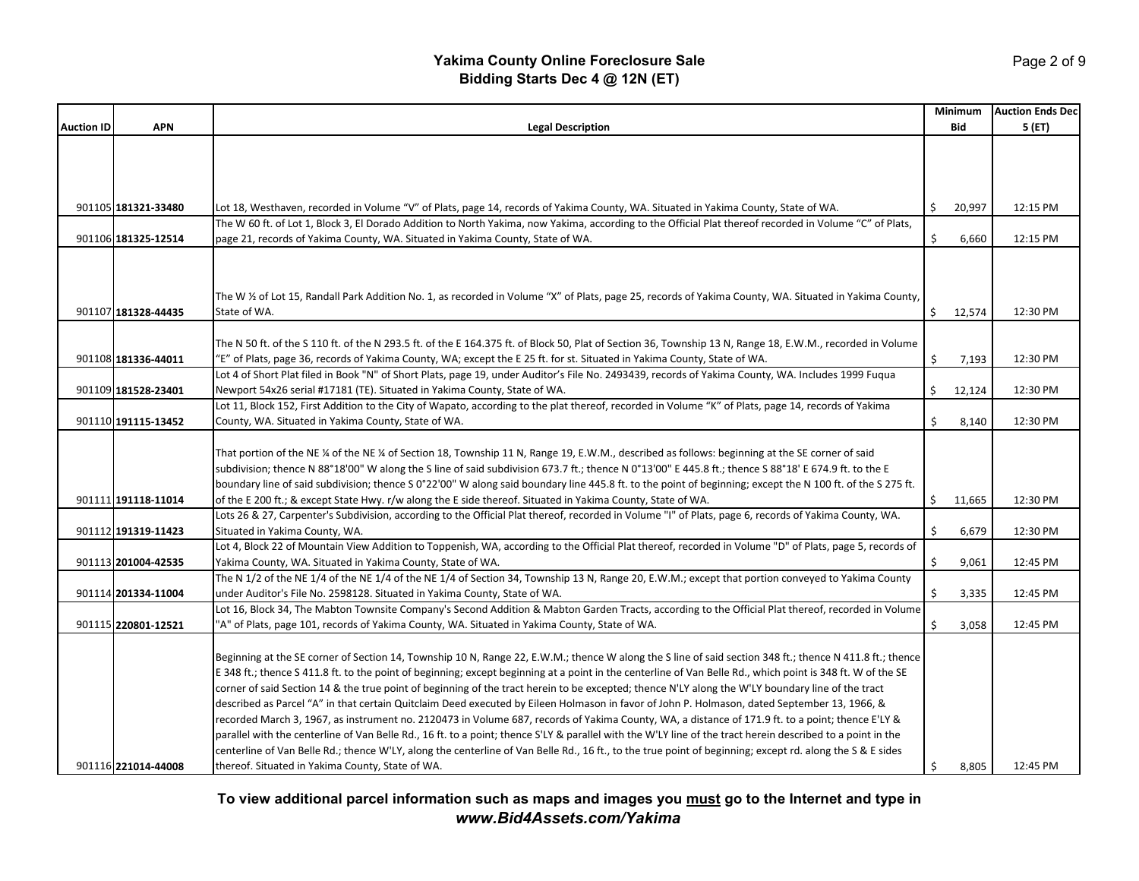|                   |                     |                                                                                                                                                                                                                                                                                |    | <b>Minimum</b> | <b>Auction Ends Dec</b> |
|-------------------|---------------------|--------------------------------------------------------------------------------------------------------------------------------------------------------------------------------------------------------------------------------------------------------------------------------|----|----------------|-------------------------|
| <b>Auction ID</b> | <b>APN</b>          | <b>Legal Description</b>                                                                                                                                                                                                                                                       |    | <b>Bid</b>     | 5 (ET)                  |
|                   |                     |                                                                                                                                                                                                                                                                                |    |                |                         |
|                   |                     |                                                                                                                                                                                                                                                                                |    |                |                         |
|                   |                     |                                                                                                                                                                                                                                                                                |    |                |                         |
|                   |                     |                                                                                                                                                                                                                                                                                |    |                |                         |
|                   | 901105 181321-33480 | Lot 18, Westhaven, recorded in Volume "V" of Plats, page 14, records of Yakima County, WA. Situated in Yakima County, State of WA.                                                                                                                                             | Ŝ. | 20,997         | 12:15 PM                |
|                   |                     | The W 60 ft. of Lot 1, Block 3, El Dorado Addition to North Yakima, now Yakima, according to the Official Plat thereof recorded in Volume "C" of Plats,                                                                                                                        |    |                |                         |
|                   | 901106 181325-12514 | page 21, records of Yakima County, WA. Situated in Yakima County, State of WA.                                                                                                                                                                                                 | \$ | 6,660          | 12:15 PM                |
|                   |                     |                                                                                                                                                                                                                                                                                |    |                |                         |
|                   |                     |                                                                                                                                                                                                                                                                                |    |                |                         |
|                   |                     |                                                                                                                                                                                                                                                                                |    |                |                         |
|                   |                     | The W 1/2 of Lot 15, Randall Park Addition No. 1, as recorded in Volume "X" of Plats, page 25, records of Yakima County, WA. Situated in Yakima County,                                                                                                                        |    |                |                         |
|                   | 901107 181328-44435 | State of WA.                                                                                                                                                                                                                                                                   | \$ | 12,574         | 12:30 PM                |
|                   |                     |                                                                                                                                                                                                                                                                                |    |                |                         |
|                   |                     | The N 50 ft. of the S 110 ft. of the N 293.5 ft. of the E 164.375 ft. of Block 50, Plat of Section 36, Township 13 N, Range 18, E.W.M., recorded in Volume                                                                                                                     | \$ |                |                         |
|                   | 901108 181336-44011 | 'E" of Plats, page 36, records of Yakima County, WA; except the E 25 ft. for st. Situated in Yakima County, State of WA.<br>Lot 4 of Short Plat filed in Book "N" of Short Plats, page 19, under Auditor's File No. 2493439, records of Yakima County, WA. Includes 1999 Fugua |    | 7,193          | 12:30 PM                |
|                   | 901109 181528-23401 | Newport 54x26 serial #17181 (TE). Situated in Yakima County, State of WA.                                                                                                                                                                                                      | Ŝ. | 12,124         | 12:30 PM                |
|                   |                     | Lot 11, Block 152, First Addition to the City of Wapato, according to the plat thereof, recorded in Volume "K" of Plats, page 14, records of Yakima                                                                                                                            |    |                |                         |
|                   | 901110 191115-13452 | County, WA. Situated in Yakima County, State of WA.                                                                                                                                                                                                                            | \$ | 8,140          | 12:30 PM                |
|                   |                     |                                                                                                                                                                                                                                                                                |    |                |                         |
|                   |                     | That portion of the NE ¼ of the NE ¼ of Section 18, Township 11 N, Range 19, E.W.M., described as follows: beginning at the SE corner of said                                                                                                                                  |    |                |                         |
|                   |                     | subdivision; thence N 88°18'00" W along the S line of said subdivision 673.7 ft.; thence N 0°13'00" E 445.8 ft.; thence S 88°18' E 674.9 ft. to the E                                                                                                                          |    |                |                         |
|                   |                     | boundary line of said subdivision; thence S 0°22'00" W along said boundary line 445.8 ft. to the point of beginning; except the N 100 ft. of the S 275 ft.                                                                                                                     |    |                |                         |
|                   | 901111 191118-11014 | of the E 200 ft.; & except State Hwy. r/w along the E side thereof. Situated in Yakima County, State of WA.                                                                                                                                                                    | \$ | 11,665         | 12:30 PM                |
|                   |                     | Lots 26 & 27, Carpenter's Subdivision, according to the Official Plat thereof, recorded in Volume "I" of Plats, page 6, records of Yakima County, WA.                                                                                                                          |    |                |                         |
|                   | 901112 191319-11423 | Situated in Yakima County, WA.                                                                                                                                                                                                                                                 | Ŝ. | 6,679          | 12:30 PM                |
|                   |                     | Lot 4, Block 22 of Mountain View Addition to Toppenish, WA, according to the Official Plat thereof, recorded in Volume "D" of Plats, page 5, records of                                                                                                                        |    |                |                         |
|                   | 901113 201004-42535 | Yakima County, WA. Situated in Yakima County, State of WA.                                                                                                                                                                                                                     | \$ | 9,061          | 12:45 PM                |
|                   |                     | The N 1/2 of the NE 1/4 of the NE 1/4 of the NE 1/4 of Section 34, Township 13 N, Range 20, E.W.M.; except that portion conveyed to Yakima County                                                                                                                              |    |                |                         |
|                   | 901114 201334-11004 | under Auditor's File No. 2598128. Situated in Yakima County, State of WA.                                                                                                                                                                                                      | Ś. | 3,335          | 12:45 PM                |
|                   |                     | Lot 16, Block 34, The Mabton Townsite Company's Second Addition & Mabton Garden Tracts, according to the Official Plat thereof, recorded in Volume                                                                                                                             |    |                |                         |
|                   | 901115 220801-12521 | 'A" of Plats, page 101, records of Yakima County, WA. Situated in Yakima County, State of WA.                                                                                                                                                                                  | \$ | 3,058          | 12:45 PM                |
|                   |                     |                                                                                                                                                                                                                                                                                |    |                |                         |
|                   |                     | Beginning at the SE corner of Section 14, Township 10 N, Range 22, E.W.M.; thence W along the S line of said section 348 ft.; thence N 411.8 ft.; thence                                                                                                                       |    |                |                         |
|                   |                     | E 348 ft.; thence S 411.8 ft. to the point of beginning; except beginning at a point in the centerline of Van Belle Rd., which point is 348 ft. W of the SE                                                                                                                    |    |                |                         |
|                   |                     | corner of said Section 14 & the true point of beginning of the tract herein to be excepted; thence N'LY along the W'LY boundary line of the tract                                                                                                                              |    |                |                         |
|                   |                     | described as Parcel "A" in that certain Quitclaim Deed executed by Eileen Holmason in favor of John P. Holmason, dated September 13, 1966, &                                                                                                                                   |    |                |                         |
|                   |                     | recorded March 3, 1967, as instrument no. 2120473 in Volume 687, records of Yakima County, WA, a distance of 171.9 ft. to a point; thence E'LY &                                                                                                                               |    |                |                         |
|                   |                     | parallel with the centerline of Van Belle Rd., 16 ft. to a point; thence S'LY & parallel with the W'LY line of the tract herein described to a point in the                                                                                                                    |    |                |                         |
|                   |                     | centerline of Van Belle Rd.; thence W'LY, along the centerline of Van Belle Rd., 16 ft., to the true point of beginning; except rd. along the S & E sides                                                                                                                      |    |                |                         |
|                   | 901116 221014-44008 | thereof. Situated in Yakima County, State of WA.                                                                                                                                                                                                                               | \$ | 8,805          | 12:45 PM                |

**To view additional parcel information such as maps and images you must go to the Internet and type in** *www.Bid4Assets.com/Yakima*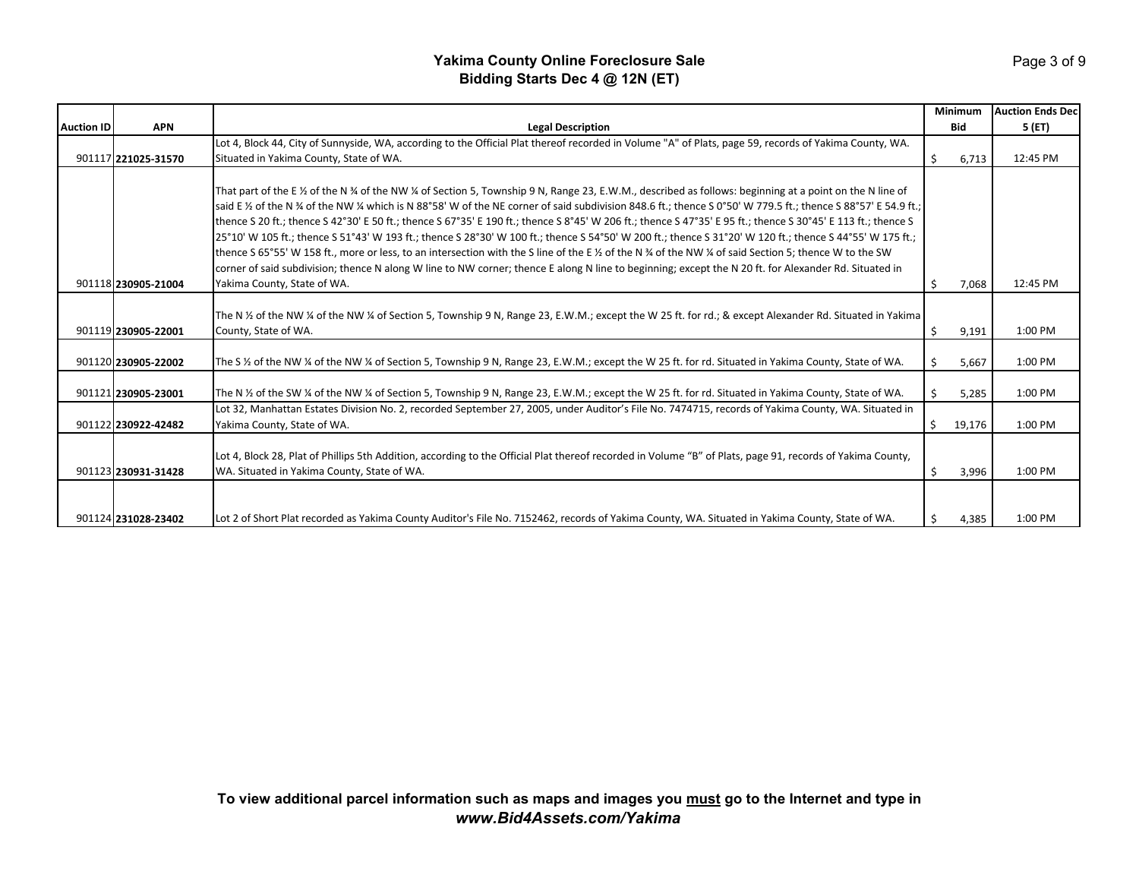|                   |                     |                                                                                                                                                                                                                                                                                                                                                                                                                                                                                                                                                                                                                                                                                                                                                                                                                                                                                                                                                                                                              |   | <b>Minimum</b> | <b>Auction Ends Dec</b> |
|-------------------|---------------------|--------------------------------------------------------------------------------------------------------------------------------------------------------------------------------------------------------------------------------------------------------------------------------------------------------------------------------------------------------------------------------------------------------------------------------------------------------------------------------------------------------------------------------------------------------------------------------------------------------------------------------------------------------------------------------------------------------------------------------------------------------------------------------------------------------------------------------------------------------------------------------------------------------------------------------------------------------------------------------------------------------------|---|----------------|-------------------------|
| <b>Auction ID</b> | <b>APN</b>          | <b>Legal Description</b>                                                                                                                                                                                                                                                                                                                                                                                                                                                                                                                                                                                                                                                                                                                                                                                                                                                                                                                                                                                     |   | <b>Bid</b>     | 5(FT)                   |
|                   |                     | Lot 4, Block 44, City of Sunnyside, WA, according to the Official Plat thereof recorded in Volume "A" of Plats, page 59, records of Yakima County, WA.                                                                                                                                                                                                                                                                                                                                                                                                                                                                                                                                                                                                                                                                                                                                                                                                                                                       |   |                |                         |
|                   | 901117 221025-31570 | Situated in Yakima County, State of WA.                                                                                                                                                                                                                                                                                                                                                                                                                                                                                                                                                                                                                                                                                                                                                                                                                                                                                                                                                                      | Ś | 6,713          | 12:45 PM                |
|                   | 901118 230905-21004 | That part of the E 1/2 of the N 3/4 of the NW 1/4 of Section 5, Township 9 N, Range 23, E.W.M., described as follows: beginning at a point on the N line of<br>said E 1/2 of the N 3/4 of the NW 1/4 which is N 88°58' W of the NE corner of said subdivision 848.6 ft.; thence S 0°50' W 779.5 ft.; thence S 88°57' E 54.9 ft.;<br>thence S 20 ft.; thence S 42°30' E 50 ft.; thence S 67°35' E 190 ft.; thence S 8°45' W 206 ft.; thence S 47°35' E 95 ft.; thence S 30°45' E 113 ft.; thence S<br>25°10' W 105 ft.; thence S 51°43' W 193 ft.; thence S 28°30' W 100 ft.; thence S 54°50' W 200 ft.; thence S 31°20' W 120 ft.; thence S 44°55' W 175 ft.;<br>thence S 65°55' W 158 ft., more or less, to an intersection with the S line of the E % of the N % of the NW % of said Section 5; thence W to the SW<br>corner of said subdivision; thence N along W line to NW corner; thence E along N line to beginning; except the N 20 ft. for Alexander Rd. Situated in<br>Yakima County, State of WA. |   | 7,068          | 12:45 PM                |
|                   | 901119 230905-22001 | The N 1/2 of the NW 1/4 of the NW 1/4 of Section 5, Township 9 N, Range 23, E.W.M.; except the W 25 ft. for rd.; & except Alexander Rd. Situated in Yakima<br>County, State of WA.                                                                                                                                                                                                                                                                                                                                                                                                                                                                                                                                                                                                                                                                                                                                                                                                                           | Ś | 9,191          | 1:00 PM                 |
|                   | 901120 230905-22002 | The S 1/2 of the NW 1/2 of the NW 1/4 of Section 5, Township 9 N, Range 23, E.W.M.; except the W 25 ft. for rd. Situated in Yakima County, State of WA.                                                                                                                                                                                                                                                                                                                                                                                                                                                                                                                                                                                                                                                                                                                                                                                                                                                      |   | 5,667          | 1:00 PM                 |
|                   | 901121 230905-23001 | The N 1/2 of the SW 1/4 of the NW 1/4 of Section 5, Township 9 N, Range 23, E.W.M.; except the W 25 ft. for rd. Situated in Yakima County, State of WA.                                                                                                                                                                                                                                                                                                                                                                                                                                                                                                                                                                                                                                                                                                                                                                                                                                                      |   | 5,285          | 1:00 PM                 |
|                   | 901122 230922-42482 | Lot 32, Manhattan Estates Division No. 2, recorded September 27, 2005, under Auditor's File No. 7474715, records of Yakima County, WA. Situated in<br>Yakima County, State of WA.                                                                                                                                                                                                                                                                                                                                                                                                                                                                                                                                                                                                                                                                                                                                                                                                                            | Ś | 19,176         | 1:00 PM                 |
|                   | 901123 230931-31428 | Lot 4, Block 28, Plat of Phillips 5th Addition, according to the Official Plat thereof recorded in Volume "B" of Plats, page 91, records of Yakima County,<br>WA. Situated in Yakima County, State of WA.                                                                                                                                                                                                                                                                                                                                                                                                                                                                                                                                                                                                                                                                                                                                                                                                    | Ś | 3,996          | 1:00 PM                 |
|                   | 901124 231028-23402 | Lot 2 of Short Plat recorded as Yakima County Auditor's File No. 7152462, records of Yakima County, WA. Situated in Yakima County, State of WA.                                                                                                                                                                                                                                                                                                                                                                                                                                                                                                                                                                                                                                                                                                                                                                                                                                                              |   | 4,385          | 1:00 PM                 |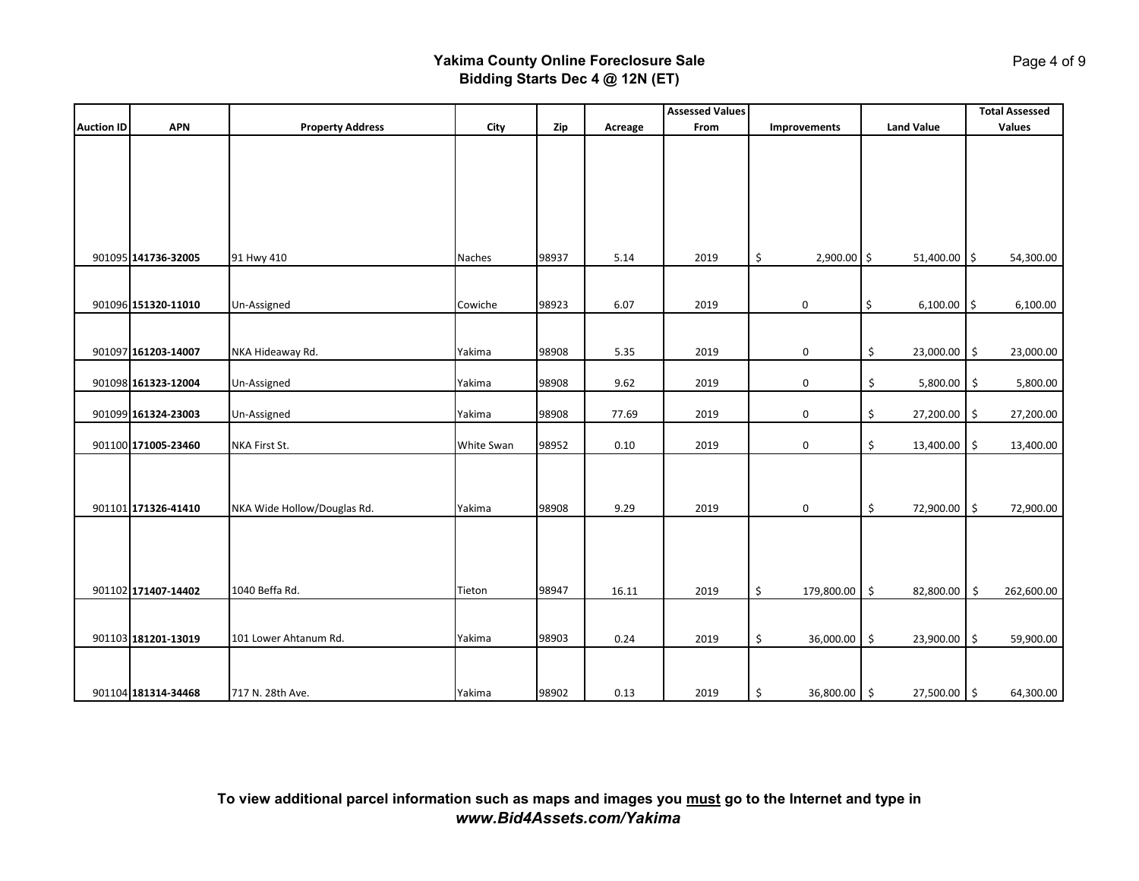|                   |                     |                             |            |       |         | <b>Assessed Values</b> |                     |                     | <b>Total Assessed</b>          |
|-------------------|---------------------|-----------------------------|------------|-------|---------|------------------------|---------------------|---------------------|--------------------------------|
| <b>Auction ID</b> | <b>APN</b>          | <b>Property Address</b>     | City       | Zip   | Acreage | From                   | Improvements        | <b>Land Value</b>   | Values                         |
|                   |                     |                             |            |       |         |                        |                     |                     |                                |
|                   |                     |                             |            |       |         |                        |                     |                     |                                |
|                   |                     |                             |            |       |         |                        |                     |                     |                                |
|                   |                     |                             |            |       |         |                        |                     |                     |                                |
|                   |                     |                             |            |       |         |                        |                     |                     |                                |
|                   |                     |                             |            |       |         |                        |                     |                     |                                |
|                   |                     |                             |            |       |         |                        |                     |                     |                                |
|                   | 901095 141736-32005 | 91 Hwy 410                  | Naches     | 98937 | 5.14    | 2019                   | \$<br>2,900.00 \$   | 51,400.00 \$        | 54,300.00                      |
|                   |                     |                             |            |       |         |                        |                     |                     |                                |
|                   |                     |                             |            |       |         |                        |                     |                     |                                |
|                   | 901096 151320-11010 | Un-Assigned                 | Cowiche    | 98923 | 6.07    | 2019                   | 0                   | \$<br>6,100.00      | 6,100.00<br>$\vert \mathsf{s}$ |
|                   |                     |                             |            |       |         |                        |                     |                     |                                |
|                   |                     |                             |            |       |         |                        |                     |                     |                                |
|                   | 901097 161203-14007 | NKA Hideaway Rd.            | Yakima     | 98908 | 5.35    | 2019                   | 0                   | \$<br>23,000.00 \$  | 23,000.00                      |
|                   |                     |                             |            |       |         |                        |                     |                     |                                |
|                   | 901098 161323-12004 | Un-Assigned                 | Yakima     | 98908 | 9.62    | 2019                   | 0                   | \$<br>$5,800.00$ \$ | 5,800.00                       |
|                   | 901099 161324-23003 | Un-Assigned                 | Yakima     | 98908 | 77.69   | 2019                   | 0                   | \$<br>27,200.00 \$  | 27,200.00                      |
|                   |                     |                             |            |       |         |                        |                     |                     |                                |
|                   | 901100 171005-23460 | NKA First St.               | White Swan | 98952 | 0.10    | 2019                   | 0                   | \$<br>13,400.00     | \$<br>13,400.00                |
|                   |                     |                             |            |       |         |                        |                     |                     |                                |
|                   |                     |                             |            |       |         |                        |                     |                     |                                |
|                   |                     |                             |            |       |         |                        |                     |                     |                                |
|                   | 901101 171326-41410 | NKA Wide Hollow/Douglas Rd. | Yakima     | 98908 | 9.29    | 2019                   | 0                   | \$<br>72,900.00 \$  | 72,900.00                      |
|                   |                     |                             |            |       |         |                        |                     |                     |                                |
|                   |                     |                             |            |       |         |                        |                     |                     |                                |
|                   |                     |                             |            |       |         |                        |                     |                     |                                |
|                   |                     |                             |            |       |         |                        |                     |                     |                                |
|                   | 901102 171407-14402 | 1040 Beffa Rd.              | Tieton     | 98947 | 16.11   | 2019                   | \$<br>179,800.00 \$ | 82,800.00           | $\ddot{\phi}$<br>262,600.00    |
|                   |                     |                             |            |       |         |                        |                     |                     |                                |
|                   |                     |                             |            |       |         |                        |                     |                     |                                |
|                   | 901103 181201-13019 | 101 Lower Ahtanum Rd.       | Yakima     | 98903 | 0.24    | 2019                   | \$<br>36,000.00 \$  | 23,900.00 \$        | 59,900.00                      |
|                   |                     |                             |            |       |         |                        |                     |                     |                                |
|                   |                     |                             |            |       |         |                        |                     |                     |                                |
|                   | 901104 181314-34468 | 717 N. 28th Ave.            | Yakima     | 98902 | 0.13    | 2019                   | \$<br>36,800.00 \$  | 27,500.00 \$        | 64,300.00                      |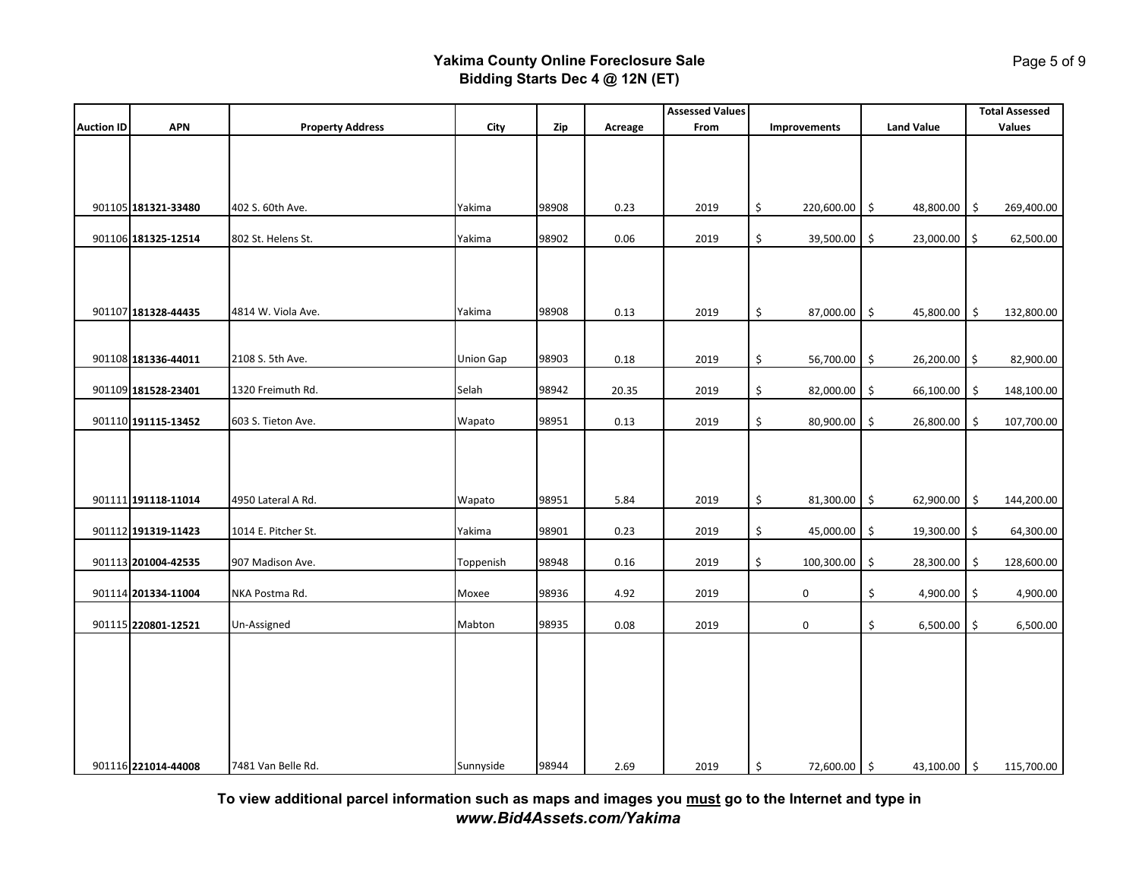|                   |                     |                         |                  |       |         | <b>Assessed Values</b> |                     |                     | <b>Total Assessed</b> |
|-------------------|---------------------|-------------------------|------------------|-------|---------|------------------------|---------------------|---------------------|-----------------------|
| <b>Auction ID</b> | <b>APN</b>          | <b>Property Address</b> | City             | Zip   | Acreage | From                   | Improvements        | <b>Land Value</b>   | <b>Values</b>         |
|                   |                     |                         |                  |       |         |                        |                     |                     |                       |
|                   | 901105 181321-33480 | 402 S. 60th Ave.        | Yakima           | 98908 | 0.23    | 2019                   | \$<br>220,600.00 \$ | 48,800.00 \$        | 269,400.00            |
|                   | 901106 181325-12514 | 802 St. Helens St.      | Yakima           | 98902 | 0.06    | 2019                   | \$<br>39,500.00     | \$<br>23,000.00 \$  | 62,500.00             |
|                   | 901107 181328-44435 | 4814 W. Viola Ave.      | Yakima           | 98908 | 0.13    | 2019                   | \$<br>87,000.00     | \$<br>45,800.00     | \$<br>132,800.00      |
|                   |                     |                         |                  |       |         |                        |                     |                     |                       |
|                   | 901108 181336-44011 | 2108 S. 5th Ave.        | <b>Union Gap</b> | 98903 | 0.18    | 2019                   | \$<br>56,700.00 \$  | 26,200.00 \$        | 82,900.00             |
|                   | 901109 181528-23401 | 1320 Freimuth Rd.       | Selah            | 98942 | 20.35   | 2019                   | \$<br>82,000.00     | \$<br>66,100.00     | 148,100.00<br>\$      |
|                   | 901110 191115-13452 | 603 S. Tieton Ave.      | Wapato           | 98951 | 0.13    | 2019                   | \$<br>80,900.00     | \$<br>26,800.00     | 107,700.00<br>\$      |
|                   |                     |                         |                  |       |         |                        |                     |                     |                       |
|                   | 901111 191118-11014 | 4950 Lateral A Rd.      | Wapato           | 98951 | 5.84    | 2019                   | \$<br>81,300.00 \$  | 62,900.00           | 144,200.00<br>\$      |
|                   | 901112 191319-11423 | 1014 E. Pitcher St.     | Yakima           | 98901 | 0.23    | 2019                   | \$<br>45,000.00     | \$<br>19,300.00     | 64,300.00<br>\$       |
|                   | 901113 201004-42535 | 907 Madison Ave.        | Toppenish        | 98948 | 0.16    | 2019                   | \$<br>100,300.00    | \$<br>28,300.00     | 128,600.00<br>\$      |
|                   | 901114 201334-11004 | NKA Postma Rd.          | Moxee            | 98936 | 4.92    | 2019                   | 0                   | \$<br>4,900.00 \$   | 4,900.00              |
|                   | 901115 220801-12521 | Un-Assigned             | Mabton           | 98935 | 0.08    | 2019                   | 0                   | \$<br>$6,500.00$ \$ | 6,500.00              |
|                   | 901116 221014-44008 | 7481 Van Belle Rd.      | Sunnyside        | 98944 | 2.69    | 2019                   | \$<br>72,600.00 \$  | 43,100.00 \$        | 115,700.00            |

**To view additional parcel information such as maps and images you must go to the Internet and type in** *www.Bid4Assets.com/Yakima*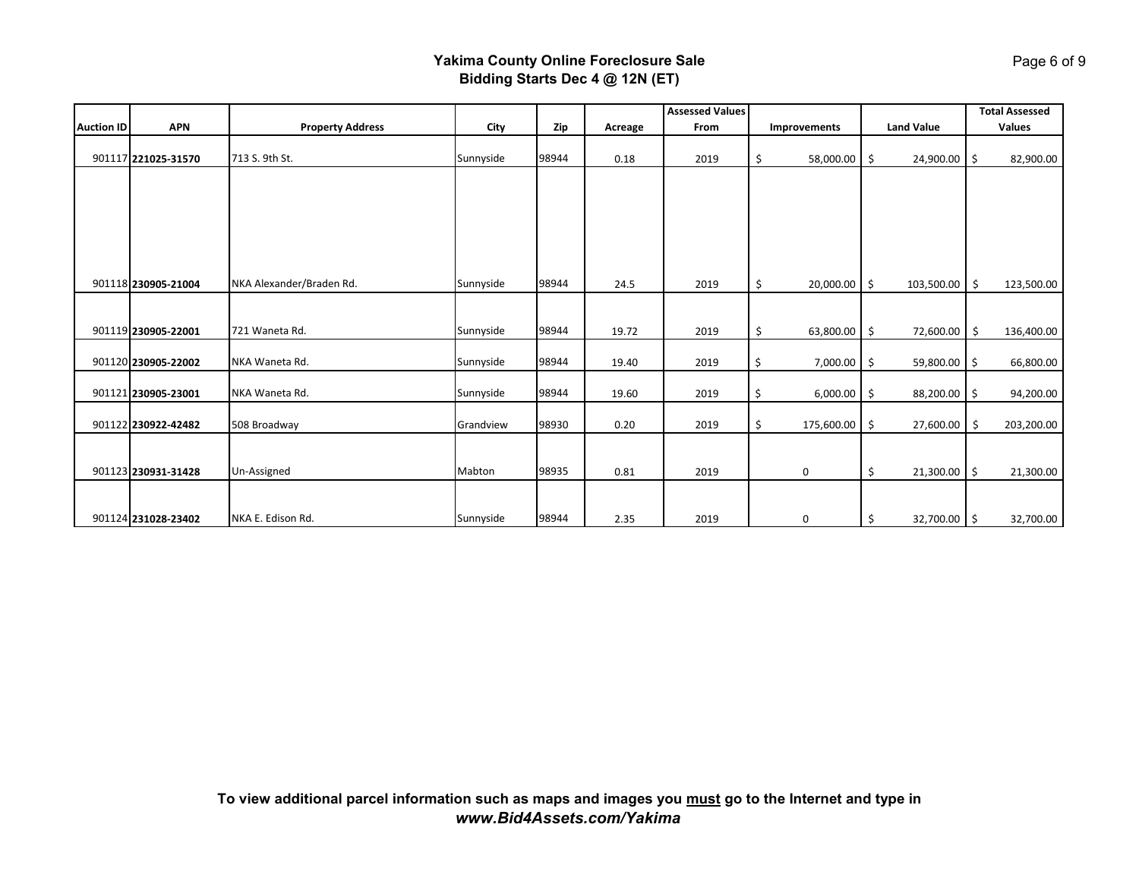|                   |                     |                          |           |       |         | <b>Assessed Values</b> |                                     |                     | <b>Total Assessed</b> |
|-------------------|---------------------|--------------------------|-----------|-------|---------|------------------------|-------------------------------------|---------------------|-----------------------|
| <b>Auction ID</b> | <b>APN</b>          | <b>Property Address</b>  | City      | Zip   | Acreage | From                   | Improvements                        | <b>Land Value</b>   | <b>Values</b>         |
|                   | 901117 221025-31570 | 713 S. 9th St.           | Sunnyside | 98944 | 0.18    | 2019                   | \$<br>58,000.00                     | -\$<br>24,900.00 \$ | 82,900.00             |
|                   |                     |                          |           |       |         |                        |                                     |                     |                       |
|                   |                     |                          |           |       |         |                        |                                     |                     |                       |
|                   |                     |                          |           |       |         |                        |                                     |                     |                       |
|                   |                     |                          |           |       |         |                        |                                     |                     |                       |
|                   | 901118 230905-21004 | NKA Alexander/Braden Rd. | Sunnyside | 98944 | 24.5    | 2019                   | $\ddot{\mathsf{S}}$<br>20,000.00 \$ | 103,500.00 \$       | 123,500.00            |
|                   |                     |                          |           |       |         |                        |                                     |                     |                       |
|                   | 901119 230905-22001 | 721 Waneta Rd.           | Sunnyside | 98944 | 19.72   | 2019                   | \$<br>63,800.00 \$                  | 72,600.00           | \$<br>136,400.00      |
|                   | 901120 230905-22002 | NKA Waneta Rd.           | Sunnyside | 98944 | 19.40   | 2019                   | \$<br>7,000.00 \$                   | 59,800.00 \$        | 66,800.00             |
|                   | 901121 230905-23001 | NKA Waneta Rd.           | Sunnyside | 98944 | 19.60   | 2019                   | \$<br>$6,000.00$ \$                 | 88,200.00 \$        | 94,200.00             |
|                   | 901122 230922-42482 | 508 Broadway             | Grandview | 98930 | 0.20    | 2019                   | \$<br>175,600.00 \$                 | 27,600.00           | 203,200.00<br>- \$    |
|                   |                     |                          |           |       |         |                        |                                     |                     |                       |
|                   | 901123 230931-31428 | Un-Assigned              | Mabton    | 98935 | 0.81    | 2019                   | 0                                   | \$<br>21,300.00 \$  | 21,300.00             |
|                   |                     |                          |           |       |         |                        |                                     |                     |                       |
|                   | 901124 231028-23402 | NKA E. Edison Rd.        | Sunnyside | 98944 | 2.35    | 2019                   | 0                                   | \$<br>32,700.00 \$  | 32,700.00             |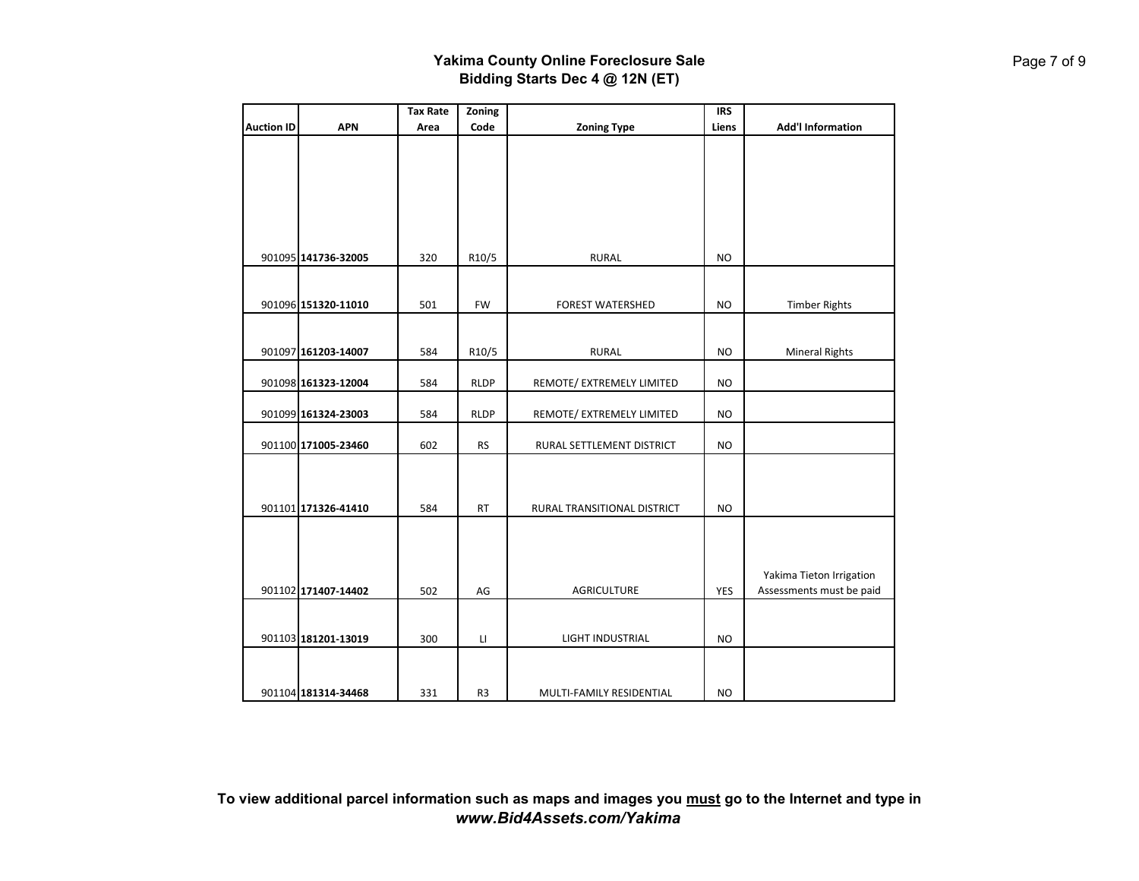|                   |                     | <b>Tax Rate</b> | Zoning      |                             | <b>IRS</b> |                          |
|-------------------|---------------------|-----------------|-------------|-----------------------------|------------|--------------------------|
| <b>Auction ID</b> | <b>APN</b>          | Area            | Code        | <b>Zoning Type</b>          | Liens      | <b>Add'l Information</b> |
|                   |                     |                 |             |                             |            |                          |
|                   |                     |                 |             |                             |            |                          |
|                   |                     |                 |             |                             |            |                          |
|                   |                     |                 |             |                             |            |                          |
|                   |                     |                 |             |                             |            |                          |
|                   |                     |                 |             |                             |            |                          |
|                   |                     |                 |             |                             |            |                          |
|                   | 901095 141736-32005 | 320             | R10/5       | <b>RURAL</b>                | <b>NO</b>  |                          |
|                   |                     |                 |             |                             |            |                          |
|                   |                     |                 |             |                             |            |                          |
|                   | 901096 151320-11010 | 501             | FW          | <b>FOREST WATERSHED</b>     | <b>NO</b>  | <b>Timber Rights</b>     |
|                   |                     |                 |             |                             |            |                          |
|                   |                     |                 |             |                             |            |                          |
|                   | 901097 161203-14007 | 584             | R10/5       | <b>RURAL</b>                | <b>NO</b>  | <b>Mineral Rights</b>    |
|                   |                     |                 |             |                             | <b>NO</b>  |                          |
|                   | 901098 161323-12004 | 584             | <b>RLDP</b> | REMOTE/ EXTREMELY LIMITED   |            |                          |
|                   | 901099 161324-23003 | 584             | <b>RLDP</b> | REMOTE/ EXTREMELY LIMITED   | <b>NO</b>  |                          |
|                   |                     |                 |             |                             |            |                          |
|                   | 901100 171005-23460 | 602             | <b>RS</b>   | RURAL SETTLEMENT DISTRICT   | <b>NO</b>  |                          |
|                   |                     |                 |             |                             |            |                          |
|                   |                     |                 |             |                             |            |                          |
|                   |                     |                 |             |                             |            |                          |
|                   | 901101 171326-41410 | 584             | <b>RT</b>   | RURAL TRANSITIONAL DISTRICT | <b>NO</b>  |                          |
|                   |                     |                 |             |                             |            |                          |
|                   |                     |                 |             |                             |            |                          |
|                   |                     |                 |             |                             |            |                          |
|                   |                     |                 |             |                             |            | Yakima Tieton Irrigation |
|                   | 901102 171407-14402 | 502             | AG          | <b>AGRICULTURE</b>          | <b>YES</b> | Assessments must be paid |
|                   |                     |                 |             |                             |            |                          |
|                   |                     |                 |             |                             |            |                          |
|                   | 901103 181201-13019 | 300             | LI          | LIGHT INDUSTRIAL            | <b>NO</b>  |                          |
|                   |                     |                 |             |                             |            |                          |
|                   |                     |                 |             |                             |            |                          |
|                   | 901104 181314-34468 | 331             | R3          | MULTI-FAMILY RESIDENTIAL    | <b>NO</b>  |                          |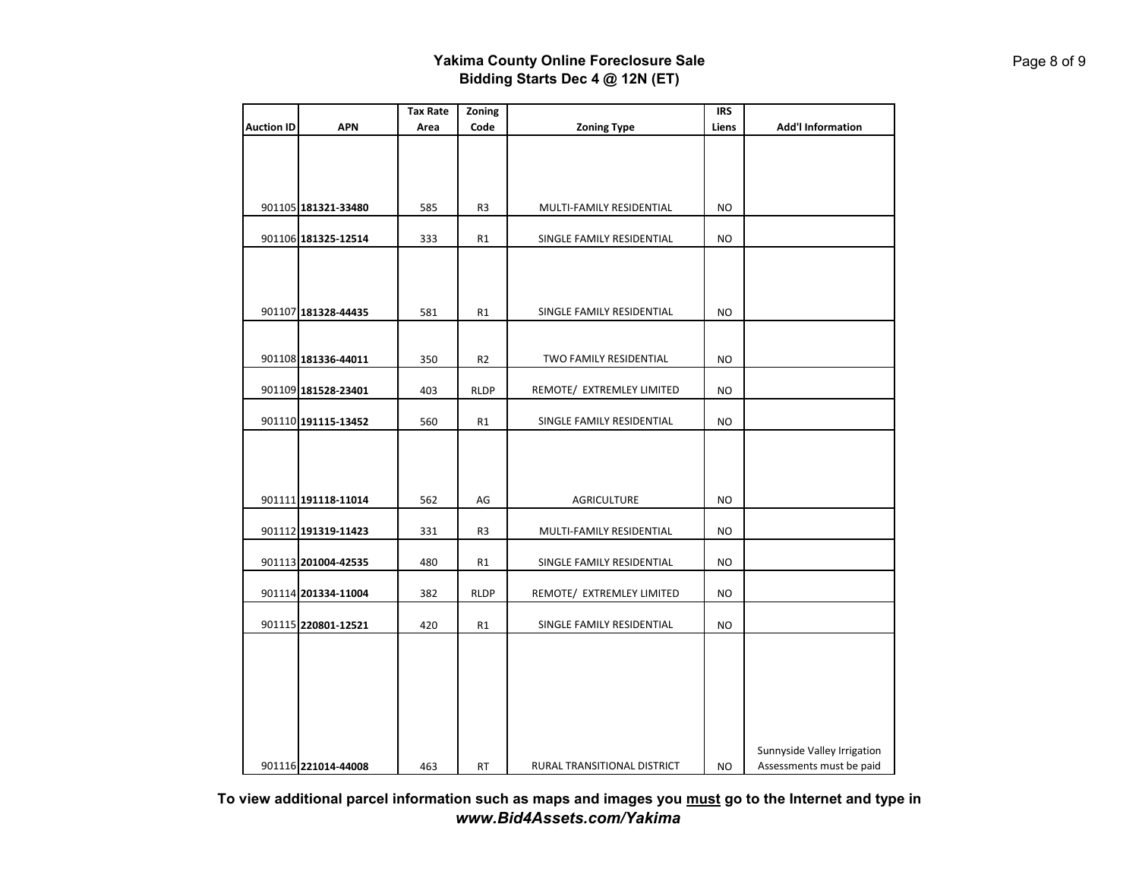|                   |                     | <b>Tax Rate</b> | Zoning         |                             | <b>IRS</b> |                             |
|-------------------|---------------------|-----------------|----------------|-----------------------------|------------|-----------------------------|
| <b>Auction ID</b> | <b>APN</b>          | Area            | Code           | <b>Zoning Type</b>          | Liens      | <b>Add'l Information</b>    |
|                   |                     |                 |                |                             |            |                             |
|                   |                     |                 |                |                             |            |                             |
|                   |                     |                 |                |                             |            |                             |
|                   |                     |                 |                |                             |            |                             |
|                   | 901105 181321-33480 | 585             | R <sub>3</sub> | MULTI-FAMILY RESIDENTIAL    | <b>NO</b>  |                             |
|                   | 901106 181325-12514 | 333             | R1             | SINGLE FAMILY RESIDENTIAL   | <b>NO</b>  |                             |
|                   |                     |                 |                |                             |            |                             |
|                   |                     |                 |                |                             |            |                             |
|                   |                     |                 |                |                             |            |                             |
|                   | 901107 181328-44435 | 581             | R1             | SINGLE FAMILY RESIDENTIAL   | NO         |                             |
|                   |                     |                 |                |                             |            |                             |
|                   |                     |                 |                |                             |            |                             |
|                   | 901108 181336-44011 | 350             | R <sub>2</sub> | TWO FAMILY RESIDENTIAL      | NO         |                             |
|                   |                     |                 |                |                             |            |                             |
|                   | 901109 181528-23401 | 403             | <b>RLDP</b>    | REMOTE/ EXTREMLEY LIMITED   | NO         |                             |
|                   | 901110 191115-13452 | 560             | R1             | SINGLE FAMILY RESIDENTIAL   | <b>NO</b>  |                             |
|                   |                     |                 |                |                             |            |                             |
|                   |                     |                 |                |                             |            |                             |
|                   |                     |                 |                |                             |            |                             |
|                   |                     |                 |                |                             |            |                             |
|                   | 901111 191118-11014 | 562             | AG             | <b>AGRICULTURE</b>          | NO         |                             |
|                   | 901112 191319-11423 | 331             | R <sub>3</sub> |                             | <b>NO</b>  |                             |
|                   |                     |                 |                | MULTI-FAMILY RESIDENTIAL    |            |                             |
|                   | 901113 201004-42535 | 480             | R1             | SINGLE FAMILY RESIDENTIAL   | NO         |                             |
|                   |                     |                 |                |                             |            |                             |
|                   | 901114 201334-11004 | 382             | <b>RLDP</b>    | REMOTE/ EXTREMLEY LIMITED   | <b>NO</b>  |                             |
|                   |                     |                 |                |                             |            |                             |
|                   | 901115 220801-12521 | 420             | R1             | SINGLE FAMILY RESIDENTIAL   | NO         |                             |
|                   |                     |                 |                |                             |            |                             |
|                   |                     |                 |                |                             |            |                             |
|                   |                     |                 |                |                             |            |                             |
|                   |                     |                 |                |                             |            |                             |
|                   |                     |                 |                |                             |            |                             |
|                   |                     |                 |                |                             |            |                             |
|                   |                     |                 |                |                             |            | Sunnyside Valley Irrigation |
|                   | 901116 221014-44008 | 463             | <b>RT</b>      | RURAL TRANSITIONAL DISTRICT | NO.        | Assessments must be paid    |

**To view additional parcel information such as maps and images you must go to the Internet and type in** *www.Bid4Assets.com/Yakima*